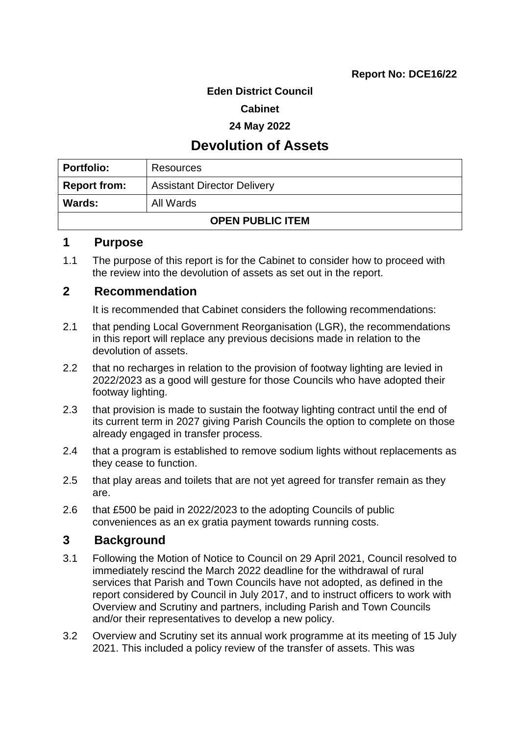### **Eden District Council**

#### **Cabinet**

#### **24 May 2022**

## **Devolution of Assets**

| Portfolio:              | Resources                          |  |
|-------------------------|------------------------------------|--|
| <b>Report from:</b>     | <b>Assistant Director Delivery</b> |  |
| <b>Wards:</b>           | All Wards                          |  |
| <b>OPEN PUBLIC ITEM</b> |                                    |  |

### **1 Purpose**

1.1 The purpose of this report is for the Cabinet to consider how to proceed with the review into the devolution of assets as set out in the report.

## **2 Recommendation**

It is recommended that Cabinet considers the following recommendations:

- 2.1 that pending Local Government Reorganisation (LGR), the recommendations in this report will replace any previous decisions made in relation to the devolution of assets.
- 2.2 that no recharges in relation to the provision of footway lighting are levied in 2022/2023 as a good will gesture for those Councils who have adopted their footway lighting.
- 2.3 that provision is made to sustain the footway lighting contract until the end of its current term in 2027 giving Parish Councils the option to complete on those already engaged in transfer process.
- 2.4 that a program is established to remove sodium lights without replacements as they cease to function.
- 2.5 that play areas and toilets that are not yet agreed for transfer remain as they are.
- 2.6 that £500 be paid in 2022/2023 to the adopting Councils of public conveniences as an ex gratia payment towards running costs.

## **3 Background**

- 3.1 Following the Motion of Notice to Council on 29 April 2021, Council resolved to immediately rescind the March 2022 deadline for the withdrawal of rural services that Parish and Town Councils have not adopted, as defined in the report considered by Council in July 2017, and to instruct officers to work with Overview and Scrutiny and partners, including Parish and Town Councils and/or their representatives to develop a new policy.
- 3.2 Overview and Scrutiny set its annual work programme at its meeting of 15 July 2021. This included a policy review of the transfer of assets. This was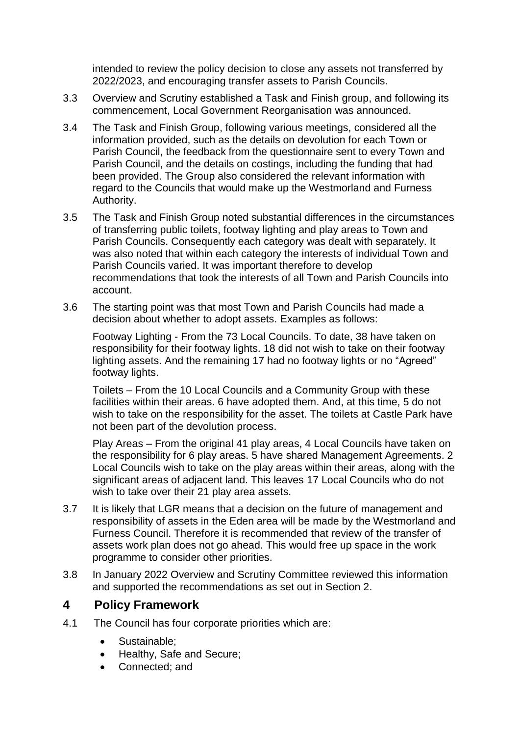intended to review the policy decision to close any assets not transferred by 2022/2023, and encouraging transfer assets to Parish Councils.

- 3.3 Overview and Scrutiny established a Task and Finish group, and following its commencement, Local Government Reorganisation was announced.
- 3.4 The Task and Finish Group, following various meetings, considered all the information provided, such as the details on devolution for each Town or Parish Council, the feedback from the questionnaire sent to every Town and Parish Council, and the details on costings, including the funding that had been provided. The Group also considered the relevant information with regard to the Councils that would make up the Westmorland and Furness Authority.
- 3.5 The Task and Finish Group noted substantial differences in the circumstances of transferring public toilets, footway lighting and play areas to Town and Parish Councils. Consequently each category was dealt with separately. It was also noted that within each category the interests of individual Town and Parish Councils varied. It was important therefore to develop recommendations that took the interests of all Town and Parish Councils into account.
- 3.6 The starting point was that most Town and Parish Councils had made a decision about whether to adopt assets. Examples as follows:

Footway Lighting - From the 73 Local Councils. To date, 38 have taken on responsibility for their footway lights. 18 did not wish to take on their footway lighting assets. And the remaining 17 had no footway lights or no "Agreed" footway lights.

Toilets – From the 10 Local Councils and a Community Group with these facilities within their areas. 6 have adopted them. And, at this time, 5 do not wish to take on the responsibility for the asset. The toilets at Castle Park have not been part of the devolution process.

Play Areas – From the original 41 play areas, 4 Local Councils have taken on the responsibility for 6 play areas. 5 have shared Management Agreements. 2 Local Councils wish to take on the play areas within their areas, along with the significant areas of adjacent land. This leaves 17 Local Councils who do not wish to take over their 21 play area assets.

- 3.7 It is likely that LGR means that a decision on the future of management and responsibility of assets in the Eden area will be made by the Westmorland and Furness Council. Therefore it is recommended that review of the transfer of assets work plan does not go ahead. This would free up space in the work programme to consider other priorities.
- 3.8 In January 2022 Overview and Scrutiny Committee reviewed this information and supported the recommendations as set out in Section 2.

# **4 Policy Framework**

- 4.1 The Council has four corporate priorities which are:
	- Sustainable;
	- Healthy, Safe and Secure;
	- Connected; and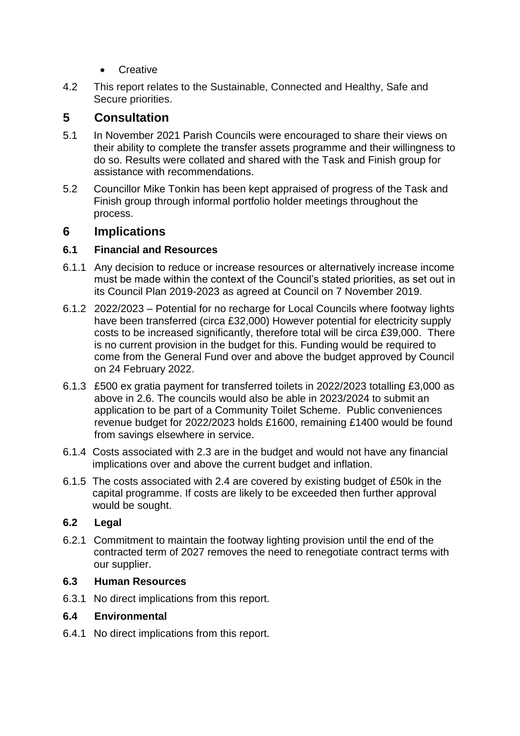- **•** Creative
- 4.2 This report relates to the Sustainable, Connected and Healthy, Safe and Secure priorities.

## **5 Consultation**

- 5.1 In November 2021 Parish Councils were encouraged to share their views on their ability to complete the transfer assets programme and their willingness to do so. Results were collated and shared with the Task and Finish group for assistance with recommendations.
- 5.2 Councillor Mike Tonkin has been kept appraised of progress of the Task and Finish group through informal portfolio holder meetings throughout the process.

## **6 Implications**

## **6.1 Financial and Resources**

- 6.1.1 Any decision to reduce or increase resources or alternatively increase income must be made within the context of the Council's stated priorities, as set out in its Council Plan 2019-2023 as agreed at Council on 7 November 2019.
- 6.1.2 2022/2023 Potential for no recharge for Local Councils where footway lights have been transferred (circa £32,000) However potential for electricity supply costs to be increased significantly, therefore total will be circa £39,000. There is no current provision in the budget for this. Funding would be required to come from the General Fund over and above the budget approved by Council on 24 February 2022.
- 6.1.3 £500 ex gratia payment for transferred toilets in 2022/2023 totalling £3,000 as above in 2.6. The councils would also be able in 2023/2024 to submit an application to be part of a Community Toilet Scheme. Public conveniences revenue budget for 2022/2023 holds £1600, remaining £1400 would be found from savings elsewhere in service.
- 6.1.4 Costs associated with 2.3 are in the budget and would not have any financial implications over and above the current budget and inflation.
- 6.1.5 The costs associated with 2.4 are covered by existing budget of £50k in the capital programme. If costs are likely to be exceeded then further approval would be sought.

## **6.2 Legal**

6.2.1 Commitment to maintain the footway lighting provision until the end of the contracted term of 2027 removes the need to renegotiate contract terms with our supplier.

### **6.3 Human Resources**

6.3.1 No direct implications from this report.

## **6.4 Environmental**

6.4.1 No direct implications from this report.